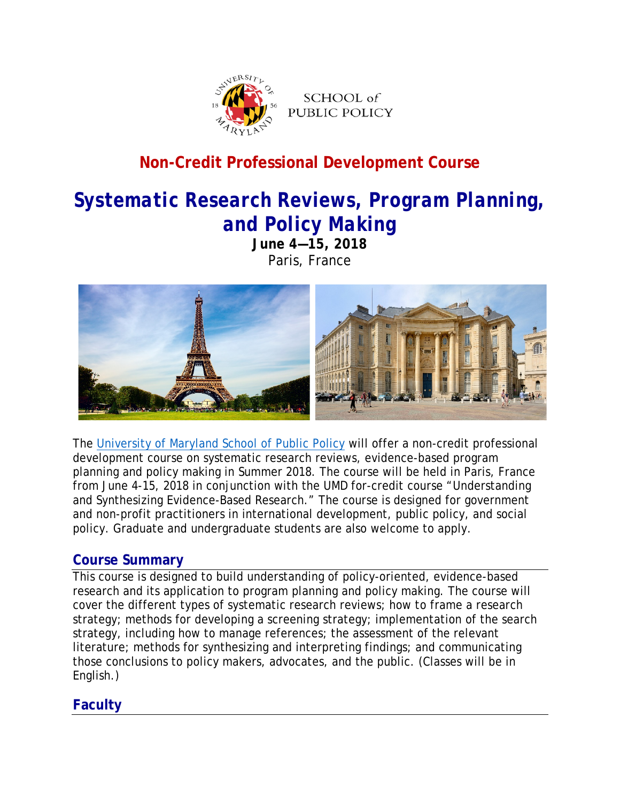

# **Non-Credit Professional Development Course**

# *Systematic Research Reviews, Program Planning, and Policy Making*

**June 4—15, 2018** Paris, France



The [University of Maryland School](https://www.publicpolicy.umd.edu/) of Public Policy will offer a non-credit professional development course on systematic research reviews, evidence-based program planning and policy making in Summer 2018. The course will be held in Paris, France from June 4-15, 2018 in conjunction with the UMD for-credit course "Understanding and Synthesizing Evidence-Based Research." The course is designed for government and non-profit practitioners in international development, public policy, and social policy. Graduate and undergraduate students are also welcome to apply.

#### **Course Summary**

This course is designed to build understanding of policy-oriented, evidence-based research and its application to program planning and policy making. The course will cover the different types of systematic research reviews; how to frame a research strategy; methods for developing a screening strategy; implementation of the search strategy, including how to manage references; the assessment of the relevant literature; methods for synthesizing and interpreting findings; and communicating those conclusions to policy makers, advocates, and the public. (Classes will be in English.)

# **Faculty**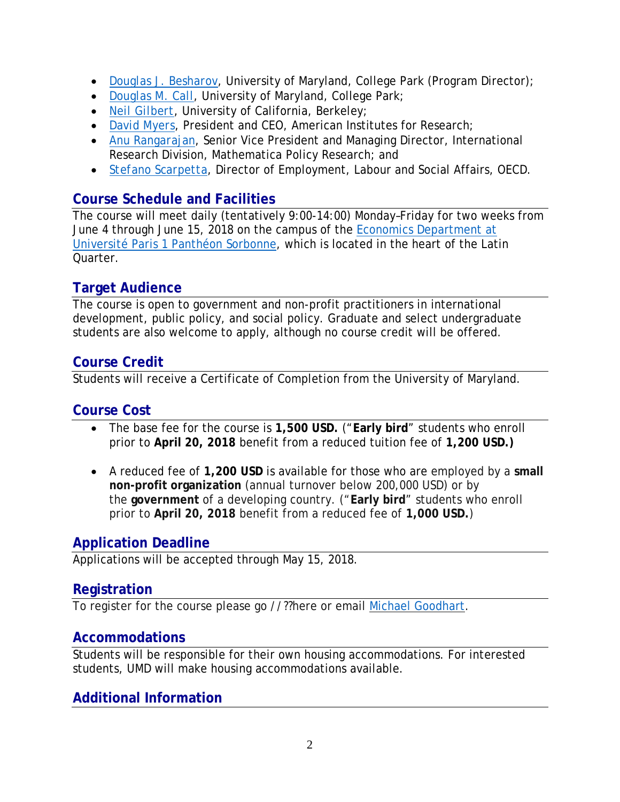- *[Douglas J. Besharov](https://www.publicpolicy.umd.edu/faculty/douglas-besharov)*, University of Maryland, College Park (Program Director);
- *Douglas M. Call*, University of Maryland, College Park;
- *[Neil Gilbert](http://socialwelfare.berkeley.edu/faculty/neil-gilbert)*, University of California, Berkeley;
- *[David Myers](http://www.air.org/person/david-myers)*, President and CEO, American Institutes for Research;
- *[Anu Rangarajan](https://www.mathematica-mpr.com/our-people/staff/anuradha-rangarajan)*, Senior Vice President and Managing Director, International Research Division, Mathematica Policy Research; and
- *[Stefano Scarpetta](http://www.oecd.org/els/Stefano-Scarpetta.htm)*, Director of Employment, Labour and Social Affairs, OECD.

#### **Course Schedule and Facilities**

The course will meet daily (tentatively 9:00-14:00) Monday–Friday for two weeks from June 4 through June 15, 2018 on the campus of the [Economics Department at](http://www.univ-paris1.fr/diplomes/pantheon-sorbonne-master-in-economics-first-year-psme/presentation/)  [Université Paris 1 Panthéon Sorbonne,](http://www.univ-paris1.fr/diplomes/pantheon-sorbonne-master-in-economics-first-year-psme/presentation/) which is located in the heart of the Latin Quarter.

#### **Target Audience**

The course is open to government and non-profit practitioners in international development, public policy, and social policy. Graduate and select undergraduate students are also welcome to apply, although no course credit will be offered.

#### **Course Credit**

Students will receive a Certificate of Completion from the University of Maryland.

#### **Course Cost**

- The base fee for the course is **1,500 USD.** ("**Early bird**" students who enroll prior to **April 20, 2018** benefit from a reduced tuition fee of **1,200 USD.)**
- A reduced fee of **1,200 USD** is available for those who are employed by a **small non-profit organization** (annual turnover below 200,000 USD) or by the **government** of a developing country. ("**Early bird**" students who enroll prior to **April 20, 2018** benefit from a reduced fee of **1,000 USD.**)

# **Application Deadline**

Applications will be accepted through May 15, 2018.

#### **Registration**

To register for the course please go //??here or email [Michael Goodhart.](mailto:goodhart@umd.edu)

#### **Accommodations**

Students will be responsible for their own housing accommodations. For interested students, UMD will make housing accommodations available.

# **Additional Information**